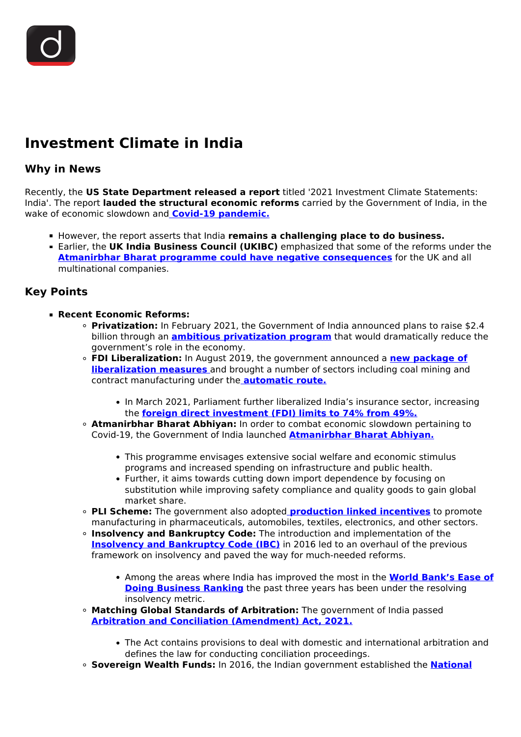## **Investment Climate in India**

## **Why in News**

Recently, the **US State Department released a report** titled '2021 Investment Climate Statements: India'. The report **lauded the structural economic reforms** carried by the Government of India, in the wake of economic slowdown and **[Covid-19 pandemic.](/daily-updates/daily-news-editorials/comprehensive-action-plan-for-covid-19)**

- **However, the report asserts that India remains a challenging place to do business.**
- Earlier, the **UK India Business Council (UKIBC)** emphasized that some of the reforms under the **[Atmanirbhar Bharat programme could have negative consequences](/daily-updates/daily-news-analysis/atmanirbhar-bharat-concerns)** for the UK and all multinational companies.

## **Key Points**

- **Recent Economic Reforms:**
	- **Privatization:** In February 2021, the Government of India announced plans to raise \$2.4 billion through an **[ambitious privatization program](/daily-updates/daily-news-analysis/government-s-disinvestment-plans)** that would dramatically reduce the government's role in the economy.
	- **FDI Liberalization:** In August 2019, the government announced a **[new package of](/daily-updates/daily-news-analysis/revised-fdi-norms) [liberalization measures](/daily-updates/daily-news-analysis/revised-fdi-norms)** and brought a number of sectors including coal mining and contract manufacturing under the **[automatic route.](/daily-updates/daily-news-analysis/new-fdi-rule)**
		- In March 2021, Parliament further liberalized India's insurance sector, increasing the **[foreign direct investment \(FDI\) limits to 74% from 49%.](/daily-updates/daily-news-analysis/new-rules-for-increased-fdi-in-insurance-sector)**
	- **Atmanirbhar Bharat Abhiyan:** In order to combat economic slowdown pertaining to Covid-19, the Government of India launched **[Atmanirbhar Bharat Abhiyan.](/daily-updates/daily-news-analysis/atmanirbhar-bharat-and-economic-stimulus)**
		- This programme envisages extensive social welfare and economic stimulus programs and increased spending on infrastructure and public health.
		- Further, it aims towards cutting down import dependence by focusing on substitution while improving safety compliance and quality goods to gain global market share.
	- **PLI Scheme:** The government also adopted **[production linked incentives](/daily-updates/daily-news-analysis/expansion-of-production-linked-incentive-scheme)** to promote manufacturing in pharmaceuticals, automobiles, textiles, electronics, and other sectors.
	- **Insolvency and Bankruptcy Code:** The introduction and implementation of the **[Insolvency and Bankruptcy Code \(IBC\)](/loksabha-rajyasabha-discussions/in-depth-insolvency-and-bankruptcy-code-act)** in 2016 led to an overhaul of the previous framework on insolvency and paved the way for much-needed reforms.
		- Among the areas where India has improved the most in the **[World Bank's Ease of](/daily-updates/daily-news-analysis/ease-of-doing-business-2020) [Doing Business Ranking](/daily-updates/daily-news-analysis/ease-of-doing-business-2020)** the past three years has been under the resolving insolvency metric.
	- **Matching Global Standards of Arbitration:** The government of India passed **[Arbitration and Conciliation \(Amendment\) Act, 2021.](/daily-updates/daily-news-analysis/ease-of-doing-business-2020)**
		- The Act contains provisions to deal with domestic and international arbitration and defines the law for conducting conciliation proceedings.
	- **Sovereign Wealth Funds:** In 2016, the Indian government established the **[National](/daily-updates/daily-news-analysis/cabinet-approves-capital-infusion-into-niif)**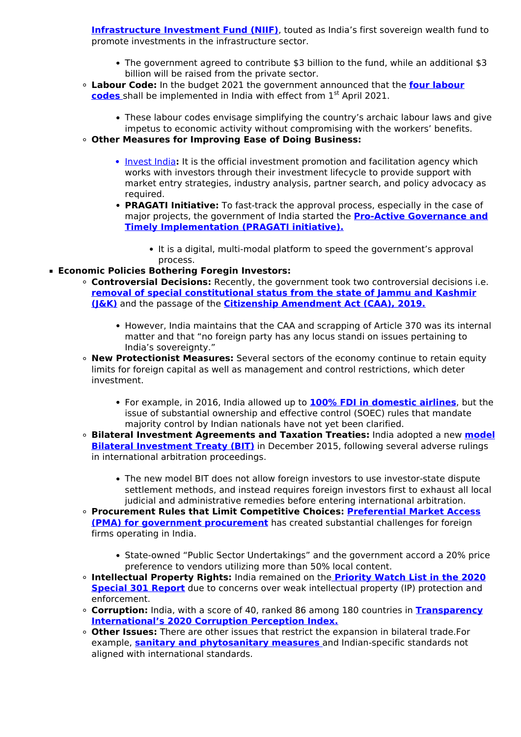**[Infrastructure Investment Fund \(NIIF\)](/daily-updates/daily-news-analysis/cabinet-approves-capital-infusion-into-niif)**, touted as India's first sovereign wealth fund to promote investments in the infrastructure sector.

- The government agreed to contribute \$3 billion to the fund, while an additional \$3 billion will be raised from the private sector.
- **Labour Code:** In the budget 2021 the government announced that the **[four labour](/daily-updates/daily-news-analysis/labour-reforms-1) [codes](/daily-updates/daily-news-analysis/labour-reforms-1)** [s](/daily-updates/daily-news-analysis/labour-reforms-1)hall be implemented in India with effect from 1<sup>st</sup> April 2021.
	- These labour codes envisage simplifying the country's archaic labour laws and give impetus to economic activity without compromising with the workers' benefits.
- **Other Measures for Improving Ease of Doing Business:**
	- [Invest India](/daily-updates/daily-news-analysis/invest-india-business-immunity-platform): It is the official investment promotion and facilitation agency which works with investors through their investment lifecycle to provide support with market entry strategies, industry analysis, partner search, and policy advocacy as required.
	- **PRAGATI Initiative:** To fast-track the approval process, especially in the case of major projects, the government of India started the **[Pro-Active Governance and](/daily-updates/daily-news-analysis/invest-india-business-immunity-platform) [Timely Implementation \(PRAGATI initiative\).](/daily-updates/daily-news-analysis/invest-india-business-immunity-platform)**
		- It is a digital, multi-modal platform to speed the government's approval process.
- **Economic Policies Bothering Foregin Investors:**
	- **Controversial Decisions:** Recently, the government took two controversial decisions i.e. **[removal of special constitutional status from the state of Jammu and Kashmir](/daily-updates/daily-news-analysis/article-370-and-35-a-revoked) [\(J&K\)](/daily-updates/daily-news-analysis/article-370-and-35-a-revoked)** and the passage of the **[Citizenship Amendment Act \(CAA\), 2019.](/to-the-points/Paper2/citizenship-amendment-act-2019)**
		- However, India maintains that the CAA and scrapping of Article 370 was its internal matter and that "no foreign party has any locus standi on issues pertaining to India's sovereignty."
	- **New Protectionist Measures:** Several sectors of the economy continue to retain equity limits for foreign capital as well as management and control restrictions, which deter investment.
		- For example, in 2016, India allowed up to **[100% FDI in domestic airlines](/daily-updates/daily-news-analysis/100-fdi-in-air-india-for-nris)**, but the issue of substantial ownership and effective control (SOEC) rules that mandate majority control by Indian nationals have not yet been clarified.
	- **Bilateral Investment Agreements and Taxation Treaties:** India adopted a new **[model](/daily-updates/daily-news-editorials/model-bilateral-investment-treaty) [Bilateral Investment Treaty \(BIT\)](/daily-updates/daily-news-editorials/model-bilateral-investment-treaty)** in December 2015, following several adverse rulings in international arbitration proceedings.
		- The new model BIT does not allow foreign investors to use investor-state dispute settlement methods, and instead requires foreign investors first to exhaust all local judicial and administrative remedies before entering international arbitration.
	- **Procurement Rules that Limit Competitive Choices: [Preferential Market Access](/daily-updates/daily-news-analysis/restrictions-on-public-procurement) [\(PMA\) for government procurement](/daily-updates/daily-news-analysis/restrictions-on-public-procurement)** has created substantial challenges for foreign firms operating in India.
		- State-owned "Public Sector Undertakings" and the government accord a 20% price preference to vendors utilizing more than 50% local content.
	- **Intellectual Property Rights:** India remained on the **[Priority Watch List in the 2020](/daily-updates/daily-news-analysis/u-s-priority-watch-list-for-ipr) [Special 301 Report](/daily-updates/daily-news-analysis/u-s-priority-watch-list-for-ipr)** due to concerns over weak intellectual property (IP) protection and enforcement.
	- **Corruption:** India, with a score of 40, ranked 86 among 180 countries in **[Transparency](/daily-updates/daily-news-analysis/corruption-perception-index-2020#:~:text=India%27s%20rank%20has%20slipped%20six,of%20180%20countries%20in%202019.) [International's 2020 Corruption Perception Index.](/daily-updates/daily-news-analysis/corruption-perception-index-2020#:~:text=India%27s%20rank%20has%20slipped%20six,of%20180%20countries%20in%202019.)**
	- **Other Issues:** There are other issues that restrict the expansion in bilateral trade.For example, **[sanitary and phytosanitary measures](/to-the-points/paper3/agriculture-export-policy-2018-1)** and Indian-specific standards not aligned with international standards.